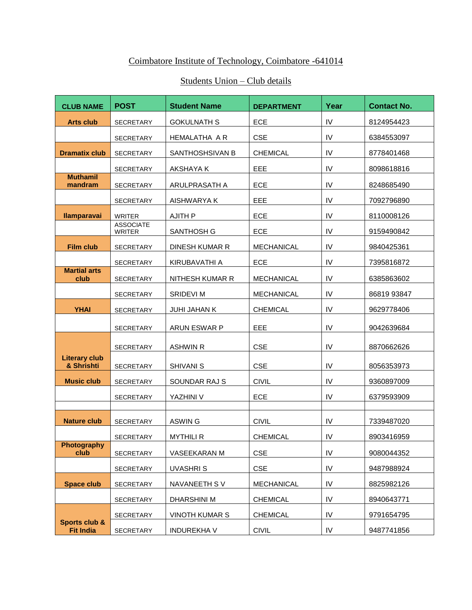## Coimbatore Institute of Technology, Coimbatore -641014

## Students Union – Club details

| <b>CLUB NAME</b>                   | <b>POST</b>                       | <b>Student Name</b>    | <b>DEPARTMENT</b> | Year       | <b>Contact No.</b> |
|------------------------------------|-----------------------------------|------------------------|-------------------|------------|--------------------|
| <b>Arts club</b>                   | <b>SECRETARY</b>                  | <b>GOKULNATH S</b>     | ECE               | IV         | 8124954423         |
|                                    | <b>SECRETARY</b>                  | HEMALATHA A R          | <b>CSE</b>        | IV         | 6384553097         |
| <b>Dramatix club</b>               | <b>SECRETARY</b>                  | SANTHOSHSIVAN B        | <b>CHEMICAL</b>   | IV         | 8778401468         |
|                                    | SECRETARY                         | AKSHAYA K              | EEE               | IV         | 8098618816         |
| <b>Muthamil</b><br>mandram         | <b>SECRETARY</b>                  | ARULPRASATH A          | ECE               | IV         | 8248685490         |
|                                    | <b>SECRETARY</b>                  | AISHWARYA K            | EEE               | IV         | 7092796890         |
| <b>Ilamparavai</b>                 | <b>WRITER</b>                     | <b>AJITH P</b>         | ECE               | IV         | 8110008126         |
|                                    | <b>ASSOCIATE</b><br><b>WRITER</b> | <b>SANTHOSH G</b>      | <b>ECE</b>        | IV         | 9159490842         |
| <b>Film club</b>                   | <b>SECRETARY</b>                  | <b>DINESH KUMAR R</b>  | <b>MECHANICAL</b> | IV         | 9840425361         |
|                                    | <b>SECRETARY</b>                  | KIRUBAVATHI A          | ECE               | IV         | 7395816872         |
| <b>Martial arts</b><br>club        | <b>SECRETARY</b>                  | <b>NITHESH KUMAR R</b> | <b>MECHANICAL</b> | IV         | 6385863602         |
|                                    | <b>SECRETARY</b>                  | SRIDEVI M              | <b>MECHANICAL</b> | IV         | 86819 93847        |
| <b>YHAI</b>                        | <b>SECRETARY</b>                  | <b>JUHI JAHAN K</b>    | <b>CHEMICAL</b>   | IV         | 9629778406         |
|                                    | SECRETARY                         | ARUN ESWAR P           | EEE               | IV         | 9042639684         |
|                                    | <b>SECRETARY</b>                  | <b>ASHWIN R</b>        | <b>CSE</b>        | IV         | 8870662626         |
| <b>Literary club</b><br>& Shrishti | <b>SECRETARY</b>                  | <b>SHIVANI S</b>       | <b>CSE</b>        | IV         | 8056353973         |
| <b>Music club</b>                  | <b>SECRETARY</b>                  | SOUNDAR RAJ S          | <b>CIVIL</b>      | IV         | 9360897009         |
|                                    | <b>SECRETARY</b>                  | YAZHINI V              | <b>ECE</b>        | IV         | 6379593909         |
|                                    |                                   |                        |                   |            |                    |
| <b>Nature club</b>                 | <b>SECRETARY</b>                  | ASWIN G                | <b>CIVIL</b>      | IV<br>IV   | 7339487020         |
| <b>Photography</b>                 | <b>SECRETARY</b>                  | <b>MYTHILI R</b>       | <b>CHEMICAL</b>   |            | 8903416959         |
| club                               | <b>SECRETARY</b>                  | VASEEKARAN M           | <b>CSE</b>        | IV         | 9080044352         |
|                                    | SECRETARY                         | UVASHRIS               | <b>CSE</b>        | ${\sf IV}$ | 9487988924         |
| <b>Space club</b>                  | <b>SECRETARY</b>                  | NAVANEETH SV           | MECHANICAL        | IV         | 8825982126         |
|                                    | <b>SECRETARY</b>                  | DHARSHINI M            | <b>CHEMICAL</b>   | IV         | 8940643771         |
| Sports club &                      | <b>SECRETARY</b>                  | <b>VINOTH KUMAR S</b>  | <b>CHEMICAL</b>   | IV         | 9791654795         |
| <b>Fit India</b>                   | <b>SECRETARY</b>                  | <b>INDUREKHA V</b>     | <b>CIVIL</b>      | IV         | 9487741856         |